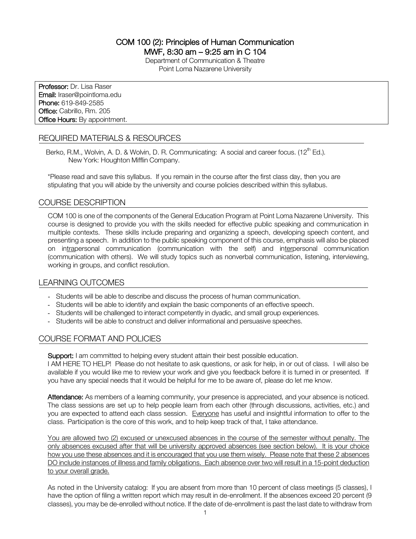COM 100 (2): Principles of Human Communication MWF, 8:30 am – 9:25 am in C 104

> Department of Communication & Theatre Point Loma Nazarene University

Professor: Dr. Lisa Raser Email: lraser@pointloma.edu Phone: 619-849-2585 Office: Cabrillo, Rm. 205 **Office Hours:** By appointment.

# REQUIRED MATERIALS & RESOURCES

Berko, R.M., Wolvin, A. D. & Wolvin, D. R. Communicating: A social and career focus.  $(12^{th}$  Ed.). New York: Houghton Mifflin Company.

\*Please read and save this syllabus. If you remain in the course after the first class day, then you are stipulating that you will abide by the university and course policies described within this syllabus.

## COURSE DESCRIPTION

COM 100 is one of the components of the General Education Program at Point Loma Nazarene University. This course is designed to provide you with the skills needed for effective public speaking and communication in multiple contexts. These skills include preparing and organizing a speech, developing speech content, and presenting a speech. In addition to the public speaking component of this course, emphasis will also be placed on intrapersonal communication (communication with the self) and interpersonal communication (communication with others). We will study topics such as nonverbal communication, listening, interviewing, working in groups, and conflict resolution.

## LEARNING OUTCOMES

- Students will be able to describe and discuss the process of human communication.
- Students will be able to identify and explain the basic components of an effective speech.
- Students will be challenged to interact competently in dyadic, and small group experiences.
- Students will be able to construct and deliver informational and persuasive speeches.

## COURSE FORMAT AND POLICIES

Support: I am committed to helping every student attain their best possible education.

I AM HERE TO HELP! Please do not hesitate to ask questions, or ask for help, in or out of class. I will also be available if you would like me to review your work and give you feedback before it is turned in or presented. If you have any special needs that it would be helpful for me to be aware of, please do let me know.

Attendance: As members of a learning community, your presence is appreciated, and your absence is noticed. The class sessions are set up to help people learn from each other (through discussions, activities, etc.) and you are expected to attend each class session. Everyone has useful and insightful information to offer to the class. Participation is the core of this work, and to help keep track of that, I take attendance.

You are allowed two (2) excused or unexcused absences in the course of the semester without penalty. The only absences excused after that will be university approved absences (see section below). It is your choice how you use these absences and it is encouraged that you use them wisely. Please note that these 2 absences DO include instances of illness and family obligations. Each absence over two will result in a 15-point deduction to your overall grade.

As noted in the University catalog: If you are absent from more than 10 percent of class meetings (5 classes), I have the option of filing a written report which may result in de-enrollment. If the absences exceed 20 percent (9 classes), you may be de-enrolled without notice. If the date of de-enrollment is past the last date to withdraw from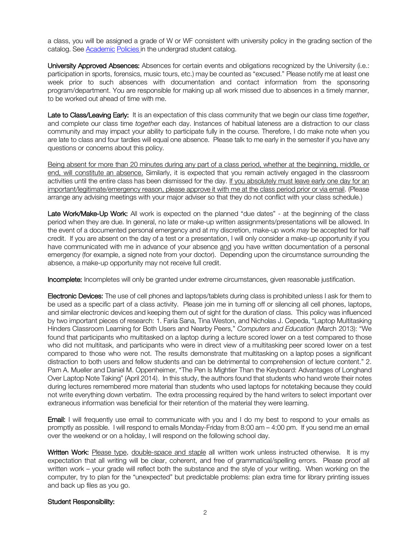a class, you will be assigned a grade of W or WF consistent with university policy in the grading section of the catalog. See Academic Policies in the undergrad student catalog.

University Approved Absences: Absences for certain events and obligations recognized by the University (i.e.: participation in sports, forensics, music tours, etc.) may be counted as "excused." Please notify me at least one week prior to such absences with documentation and contact information from the sponsoring program/department. You are responsible for making up all work missed due to absences in a timely manner, to be worked out ahead of time with me.

Late to Class/Leaving Early: It is an expectation of this class community that we begin our class time *together*, and complete our class time *together* each day. Instances of habitual lateness are a distraction to our class community and may impact your ability to participate fully in the course. Therefore, I do make note when you are late to class and four tardies will equal one absence. Please talk to me early in the semester if you have any questions or concerns about this policy.

Being absent for more than 20 minutes during any part of a class period, whether at the beginning, middle, or end, will constitute an absence. Similarly, it is expected that you remain actively engaged in the classroom activities until the entire class has been dismissed for the day. If you absolutely must leave early one day for an important/legitimate/emergency reason, please approve it with me at the class period prior or via email. (Please arrange any advising meetings with your major adviser so that they do not conflict with your class schedule.)

Late Work/Make-Up Work: All work is expected on the planned "due dates" - at the beginning of the class period when they are due. In general, no late or make-up written assignments/presentations will be allowed. In the event of a documented personal emergency and at my discretion, make-up work *may* be accepted for half credit. If you are absent on the day of a test or a presentation, I will only consider a make-up opportunity if you have communicated with me in advance of your absence and you have written documentation of a personal emergency (for example, a signed note from your doctor). Depending upon the circumstance surrounding the absence, a make-up opportunity may not receive full credit.

Incomplete: Incompletes will only be granted under extreme circumstances, given reasonable justification.

Electronic Devices: The use of cell phones and laptops/tablets during class is prohibited unless I ask for them to be used as a specific part of a class activity. Please join me in turning off or silencing all cell phones, laptops, and similar electronic devices and keeping them out of sight for the duration of class. This policy was influenced by two important pieces of research: 1. Faria Sana, Tina Weston, and Nicholas J. Cepeda, "Laptop Multitasking Hinders Classroom Learning for Both Users and Nearby Peers," *Computers and Education* (March 2013): "We found that participants who multitasked on a laptop during a lecture scored lower on a test compared to those who did not multitask, and participants who were in direct view of a multitasking peer scored lower on a test compared to those who were not. The results demonstrate that multitasking on a laptop poses a significant distraction to both users and fellow students and can be detrimental to comprehension of lecture content." 2. Pam A. Mueller and Daniel M. Oppenheimer, "The Pen Is Mightier Than the Keyboard: Advantages of Longhand Over Laptop Note Taking" (April 2014). In this study, the authors found that students who hand wrote their notes during lectures remembered more material than students who used laptops for notetaking because they could not write everything down verbatim. The extra processing required by the hand writers to select important over extraneous information was beneficial for their retention of the material they were learning.

**Email:** I will frequently use email to communicate with you and I do my best to respond to your emails as promptly as possible. I will respond to emails Monday-Friday from 8:00 am – 4:00 pm. If you send me an email over the weekend or on a holiday, I will respond on the following school day.

Written Work: Please type, double-space and staple all written work unless instructed otherwise. It is my expectation that all writing will be clear, coherent, and free of grammatical/spelling errors. Please proof all written work – your grade will reflect both the substance and the style of your writing. When working on the computer, try to plan for the "unexpected" but predictable problems: plan extra time for library printing issues and back up files as you go.

#### Student Responsibility: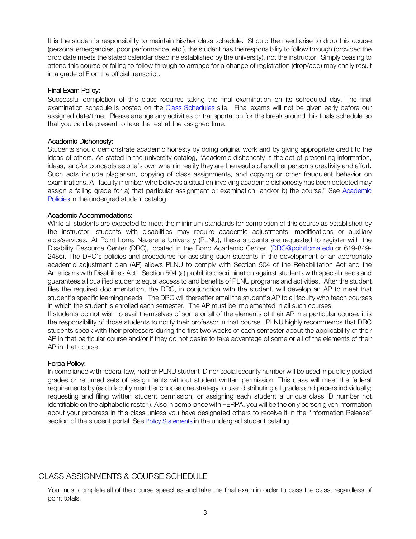It is the student's responsibility to maintain his/her class schedule. Should the need arise to drop this course (personal emergencies, poor performance, etc.), the student has the responsibility to follow through (provided the drop date meets the stated calendar deadline established by the university), not the instructor. Simply ceasing to attend this course or failing to follow through to arrange for a change of registration (drop/add) may easily result in a grade of F on the official transcript.

### Final Exam Policy:

Successful completion of this class requires taking the final examination on its scheduled day. The final examination schedule is posted on the Class Schedules site. Final exams will not be given early before our assigned date/time. Please arrange any activities or transportation for the break around this finals schedule so that you can be present to take the test at the assigned time.

#### Academic Dishonesty:

Students should demonstrate academic honesty by doing original work and by giving appropriate credit to the ideas of others. As stated in the university catalog, "Academic dishonesty is the act of presenting information, ideas, and/or concepts as one's own when in reality they are the results of another person's creativity and effort. Such acts include plagiarism, copying of class assignments, and copying or other fraudulent behavior on examinations. A faculty member who believes a situation involving academic dishonesty has been detected may assign a failing grade for a) that particular assignment or examination, and/or b) the course." See Academic Policies in the undergrad student catalog.

#### Academic Accommodations:

While all students are expected to meet the minimum standards for completion of this course as established by the instructor, students with disabilities may require academic adjustments, modifications or auxiliary aids/services. At Point Loma Nazarene University (PLNU), these students are requested to register with the Disability Resource Center (DRC), located in the Bond Academic Center. (DRC@pointloma.edu or 619-849- 2486). The DRC's policies and procedures for assisting such students in the development of an appropriate academic adjustment plan (AP) allows PLNU to comply with Section 504 of the Rehabilitation Act and the Americans with Disabilities Act. Section 504 (a) prohibits discrimination against students with special needs and guarantees all qualified students equal access to and benefits of PLNU programs and activities. After the student files the required documentation, the DRC, in conjunction with the student, will develop an AP to meet that student's specific learning needs. The DRC will thereafter email the student's AP to all faculty who teach courses in which the student is enrolled each semester. The AP must be implemented in all such courses.

If students do not wish to avail themselves of some or all of the elements of their AP in a particular course, it is the responsibility of those students to notify their professor in that course. PLNU highly recommends that DRC students speak with their professors during the first two weeks of each semester about the applicability of their AP in that particular course and/or if they do not desire to take advantage of some or all of the elements of their AP in that course.

#### Ferpa Policy:

In compliance with federal law, neither PLNU student ID nor social security number will be used in publicly posted grades or returned sets of assignments without student written permission. This class will meet the federal requirements by (each faculty member choose one strategy to use: distributing all grades and papers individually; requesting and filing written student permission; or assigning each student a unique class ID number not identifiable on the alphabetic roster.). Also in compliance with FERPA, you will be the only person given information about your progress in this class unless you have designated others to receive it in the "Information Release" section of the student portal. See Policy Statements in the undergrad student catalog.

# CLASS ASSIGNMENTS & COURSE SCHEDULE

You must complete all of the course speeches and take the final exam in order to pass the class, regardless of point totals.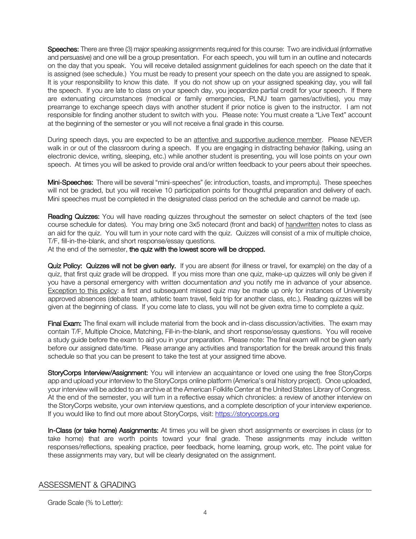Speeches: There are three (3) major speaking assignments required for this course: Two are individual (informative and persuasive) and one will be a group presentation. For each speech, you will turn in an outline and notecards on the day that you speak. You will receive detailed assignment guidelines for each speech on the date that it is assigned (see schedule.) You must be ready to present your speech on the date you are assigned to speak. It is your responsibility to know this date. If you do not show up on your assigned speaking day, you will fail the speech. If you are late to class on your speech day, you jeopardize partial credit for your speech. If there are extenuating circumstances (medical or family emergencies, PLNU team games/activities), you may prearrange to exchange speech days with another student if prior notice is given to the instructor. I am not responsible for finding another student to switch with you. Please note: You must create a "Live Text" account at the beginning of the semester or you will not receive a final grade in this course.

During speech days, you are expected to be an attentive and supportive audience member. Please NEVER walk in or out of the classroom during a speech. If you are engaging in distracting behavior (talking, using an electronic device, writing, sleeping, etc.) while another student is presenting, you will lose points on your own speech. At times you will be asked to provide oral and/or written feedback to your peers about their speeches.

Mini-Speeches: There will be several "mini-speeches" (ie: introduction, toasts, and impromptu). These speeches will not be graded, but you will receive 10 participation points for thoughtful preparation and delivery of each. Mini speeches must be completed in the designated class period on the schedule and cannot be made up.

Reading Quizzes: You will have reading quizzes throughout the semester on select chapters of the text (see course schedule for dates). You may bring one 3x5 notecard (front and back) of handwritten notes to class as an aid for the quiz. You will turn in your note card with the quiz. Quizzes will consist of a mix of multiple choice, T/F, fill-in-the-blank, and short response/essay questions.

At the end of the semester, the quiz with the lowest score will be dropped.

Quiz Policy: Quizzes will not be given early. If you are absent (for illness or travel, for example) on the day of a quiz, that first quiz grade will be dropped. If you miss more than one quiz, make-up quizzes will only be given if you have a personal emergency with written documentation *and* you notify me in advance of your absence. Exception to this policy: a first and subsequent missed quiz may be made up only for instances of University approved absences (debate team, athletic team travel, field trip for another class, etc.). Reading quizzes will be given at the beginning of class. If you come late to class, you will not be given extra time to complete a quiz.

Final Exam: The final exam will include material from the book and in-class discussion/activities. The exam may contain T/F, Multiple Choice, Matching, Fill-in-the-blank, and short response/essay questions. You will receive a study guide before the exam to aid you in your preparation. Please note: The final exam will not be given early before our assigned date/time. Please arrange any activities and transportation for the break around this finals schedule so that you can be present to take the test at your assigned time above.

StoryCorps Interview/Assignment: You will interview an acquaintance or loved one using the free StoryCorps app and upload your interview to the StoryCorps online platform (America's oral history project). Once uploaded, your interview will be added to an archive at the American Folklife Center at the United States Library of Congress. At the end of the semester, you will turn in a reflective essay which chronicles: a review of another interview on the StoryCorps website, your own interview questions, and a complete description of your interview experience. If you would like to find out more about StoryCorps, visit: https://storycorps.org

In-Class (or take home) Assignments: At times you will be given short assignments or exercises in class (or to take home) that are worth points toward your final grade. These assignments may include written responses/reflections, speaking practice, peer feedback, home learning, group work, etc. The point value for these assignments may vary, but will be clearly designated on the assignment.

## ASSESSMENT & GRADING

Grade Scale (% to Letter):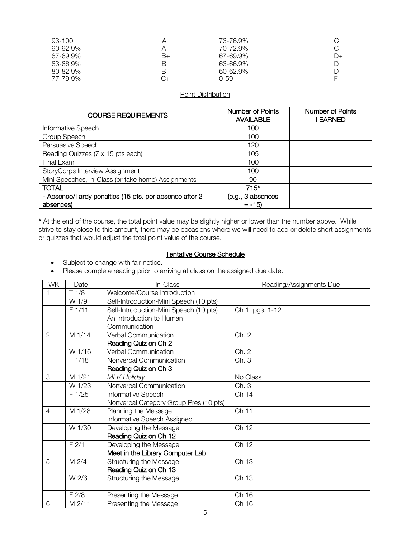| 93-100   |    | 73-76.9%      |       |
|----------|----|---------------|-------|
| 90-92.9% | А- | 70-72.9%      | C-    |
| 87-89.9% | B+ | 67-69.9%      | $D+$  |
| 83-86.9% | В  | 63-66.9%      | D     |
| 80-82.9% | В- | $60 - 62.9\%$ | $D$ - |
| 77-79.9% |    | 0-59          |       |

## Point Distribution

| <b>COURSE REQUIREMENTS</b>                             | Number of Points<br><b>AVAILABLE</b> | <b>Number of Points</b><br>I EARNED |
|--------------------------------------------------------|--------------------------------------|-------------------------------------|
| Informative Speech                                     | 100                                  |                                     |
| Group Speech                                           | 100                                  |                                     |
| Persuasive Speech                                      | 120                                  |                                     |
| Reading Quizzes (7 x 15 pts each)                      | 105                                  |                                     |
| Final Exam                                             | 100                                  |                                     |
| StoryCorps Interview Assignment                        | 100                                  |                                     |
| Mini Speeches, In-Class (or take home) Assignments     | 90                                   |                                     |
| <b>TOTAL</b>                                           | $715*$                               |                                     |
| - Absence/Tardy penalties (15 pts. per absence after 2 | (e.g., 3 absences                    |                                     |
| absences)                                              | $= -15$                              |                                     |

\* At the end of the course, the total point value may be slightly higher or lower than the number above. While I strive to stay close to this amount, there may be occasions where we will need to add or delete short assignments or quizzes that would adjust the total point value of the course.

#### Tentative Course Schedule

- Subject to change with fair notice.
- Please complete reading prior to arriving at class on the assigned due date.

| WK             | Date   | In-Class                               | Reading/Assignments Due |
|----------------|--------|----------------------------------------|-------------------------|
|                | T1/8   | Welcome/Course Introduction            |                         |
|                | W 1/9  | Self-Introduction-Mini Speech (10 pts) |                         |
|                | F 1/11 | Self-Introduction-Mini Speech (10 pts) | Ch 1: pgs. 1-12         |
|                |        | An Introduction to Human               |                         |
|                |        | Communication                          |                         |
| 2              | M 1/14 | <b>Verbal Communication</b>            | Ch. 2                   |
|                |        | Reading Quiz on Ch 2                   |                         |
|                | W 1/16 | Verbal Communication                   | Ch. 2                   |
|                | F 1/18 | Nonverbal Communication                | Ch.3                    |
|                |        | Reading Quiz on Ch 3                   |                         |
| 3              | M 1/21 | <b>MLK Holiday</b>                     | No Class                |
|                | W 1/23 | Nonverbal Communication                | Ch. 3                   |
|                | F 1/25 | Informative Speech                     | Ch 14                   |
|                |        | Nonverbal Category Group Pres (10 pts) |                         |
| $\overline{4}$ | M 1/28 | Planning the Message                   | Ch 11                   |
|                |        | Informative Speech Assigned            |                         |
|                | W 1/30 | Developing the Message                 | Ch 12                   |
|                |        | Reading Quiz on Ch 12                  |                         |
|                | F2/1   | Developing the Message                 | Ch 12                   |
|                |        | Meet in the Library Computer Lab       |                         |
| 5              | M 2/4  | Structuring the Message                | Ch 13                   |
|                |        | Reading Quiz on Ch 13                  |                         |
|                | W 2/6  | <b>Structuring the Message</b>         | Ch 13                   |
|                |        |                                        |                         |
|                | F 2/8  | Presenting the Message                 | Ch 16                   |
| 6              | M 2/11 | Presenting the Message                 | Ch 16                   |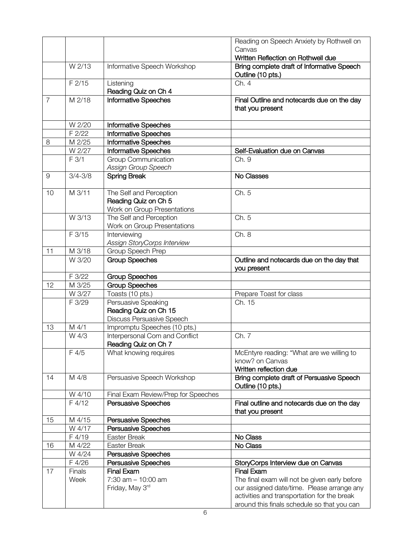|                |                |                                                                                | Reading on Speech Anxiety by Rothwell on                                                   |
|----------------|----------------|--------------------------------------------------------------------------------|--------------------------------------------------------------------------------------------|
|                |                |                                                                                | Canvas                                                                                     |
|                |                |                                                                                | Written Reflection on Rothwell due                                                         |
|                | W 2/13         | <b>Informative Speech Workshop</b>                                             | Bring complete draft of Informative Speech<br>Outline (10 pts.)                            |
|                | F 2/15         | Listening<br>Reading Quiz on Ch 4                                              | Ch. 4                                                                                      |
| $\overline{7}$ | M 2/18         | <b>Informative Speeches</b>                                                    | Final Outline and notecards due on the day<br>that you present                             |
|                | W 2/20         | <b>Informative Speeches</b>                                                    |                                                                                            |
|                | F 2/22         | <b>Informative Speeches</b>                                                    |                                                                                            |
| 8              | M 2/25         | <b>Informative Speeches</b>                                                    |                                                                                            |
|                | W 2/27         | Informative Speeches                                                           | Self-Evaluation due on Canvas                                                              |
|                | F 3/1          | <b>Group Communication</b><br>Assign Group Speech                              | Ch. 9                                                                                      |
| 9              | $3/4 - 3/8$    | <b>Spring Break</b>                                                            | No Classes                                                                                 |
| 10             | M 3/11         | The Self and Perception<br>Reading Quiz on Ch 5<br>Work on Group Presentations | Ch. 5                                                                                      |
|                | W 3/13         | The Self and Perception<br>Work on Group Presentations                         | Ch. 5                                                                                      |
|                | F 3/15         | <b>Interviewing</b><br>Assign StoryCorps Interview                             | Ch. 8                                                                                      |
| 11             | M 3/18         | Group Speech Prep                                                              |                                                                                            |
|                | W 3/20         | <b>Group Speeches</b>                                                          | Outline and notecards due on the day that<br>you present                                   |
|                | F 3/22         | <b>Group Speeches</b>                                                          |                                                                                            |
| 12             | M 3/25         | <b>Group Speeches</b>                                                          |                                                                                            |
|                | W 3/27         | Toasts (10 pts.)                                                               | Prepare Toast for class                                                                    |
|                | F 3/29         | Persuasive Speaking<br>Reading Quiz on Ch 15                                   | Ch. 15                                                                                     |
|                |                |                                                                                |                                                                                            |
|                |                | <b>Discuss Persuasive Speech</b>                                               |                                                                                            |
| 13             | M 4/1<br>W 4/3 | Impromptu Speeches (10 pts.)<br>Interpersonal Com and Conflict                 | Ch. 7                                                                                      |
|                | F 4/5          | Reading Quiz on Ch 7<br>What knowing requires                                  | McEntyre reading: "What are we willing to<br>know? on Canvas<br>Written reflection due     |
| 14             | M 4/8          | Persuasive Speech Workshop                                                     | Bring complete draft of Persuasive Speech<br>Outline (10 pts.)                             |
|                | W 4/10         | Final Exam Review/Prep for Speeches                                            |                                                                                            |
|                | F 4/12         | Persuasive Speeches                                                            | Final outline and notecards due on the day<br>that you present                             |
| 15             | M 4/15         | Persuasive Speeches                                                            |                                                                                            |
|                | W 4/17         | Persuasive Speeches                                                            |                                                                                            |
|                | F 4/19         | Easter Break                                                                   | No Class                                                                                   |
| 16             | M 4/22         | Easter Break                                                                   | No Class                                                                                   |
|                | W 4/24         | Persuasive Speeches                                                            |                                                                                            |
|                | F 4/26         | Persuasive Speeches                                                            | StoryCorps Interview due on Canvas                                                         |
| 17             | <b>Finals</b>  | <b>Final Exam</b>                                                              | <b>Final Exam</b>                                                                          |
|                | Week           | $7:30$ am $-10:00$ am                                                          | The final exam will not be given early before                                              |
|                |                | Friday, May 3rd                                                                | our assigned date/time. Please arrange any                                                 |
|                |                |                                                                                | activities and transportation for the break<br>around this finals schedule so that you can |